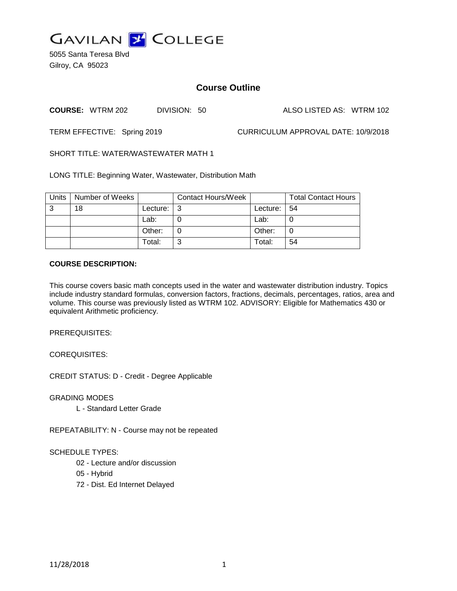

5055 Santa Teresa Blvd Gilroy, CA 95023

# **Course Outline**

**COURSE:** WTRM 202 DIVISION: 50 ALSO LISTED AS: WTRM 102

TERM EFFECTIVE: Spring 2019 CURRICULUM APPROVAL DATE: 10/9/2018

SHORT TITLE: WATER/WASTEWATER MATH 1

LONG TITLE: Beginning Water, Wastewater, Distribution Math

| Units | Number of Weeks |          | <b>Contact Hours/Week</b> |          | <b>Total Contact Hours</b> |
|-------|-----------------|----------|---------------------------|----------|----------------------------|
| 3     | 18              | Lecture: | l 3                       | Lecture: | -54                        |
|       |                 | Lab:     |                           | Lab:     |                            |
|       |                 | Other:   |                           | Other:   |                            |
|       |                 | Total:   |                           | Total:   | 54                         |

### **COURSE DESCRIPTION:**

This course covers basic math concepts used in the water and wastewater distribution industry. Topics include industry standard formulas, conversion factors, fractions, decimals, percentages, ratios, area and volume. This course was previously listed as WTRM 102. ADVISORY: Eligible for Mathematics 430 or equivalent Arithmetic proficiency.

PREREQUISITES:

COREQUISITES:

CREDIT STATUS: D - Credit - Degree Applicable

GRADING MODES

L - Standard Letter Grade

REPEATABILITY: N - Course may not be repeated

### SCHEDULE TYPES:

- 02 Lecture and/or discussion
- 05 Hybrid
- 72 Dist. Ed Internet Delayed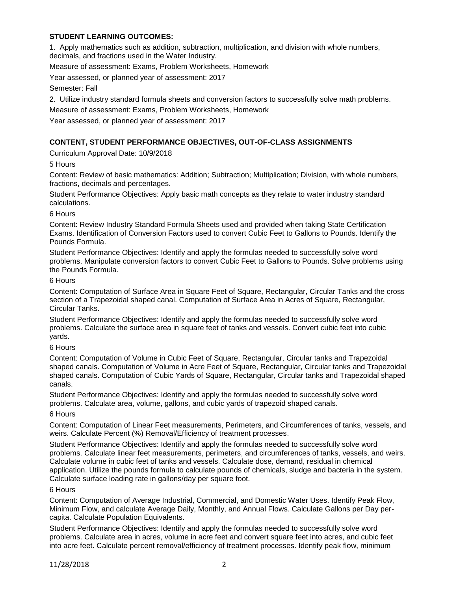## **STUDENT LEARNING OUTCOMES:**

1. Apply mathematics such as addition, subtraction, multiplication, and division with whole numbers, decimals, and fractions used in the Water Industry.

Measure of assessment: Exams, Problem Worksheets, Homework

Year assessed, or planned year of assessment: 2017

Semester: Fall

2. Utilize industry standard formula sheets and conversion factors to successfully solve math problems.

Measure of assessment: Exams, Problem Worksheets, Homework

Year assessed, or planned year of assessment: 2017

## **CONTENT, STUDENT PERFORMANCE OBJECTIVES, OUT-OF-CLASS ASSIGNMENTS**

Curriculum Approval Date: 10/9/2018

5 Hours

Content: Review of basic mathematics: Addition; Subtraction; Multiplication; Division, with whole numbers, fractions, decimals and percentages.

Student Performance Objectives: Apply basic math concepts as they relate to water industry standard calculations.

6 Hours

Content: Review Industry Standard Formula Sheets used and provided when taking State Certification Exams. Identification of Conversion Factors used to convert Cubic Feet to Gallons to Pounds. Identify the Pounds Formula.

Student Performance Objectives: Identify and apply the formulas needed to successfully solve word problems. Manipulate conversion factors to convert Cubic Feet to Gallons to Pounds. Solve problems using the Pounds Formula.

6 Hours

Content: Computation of Surface Area in Square Feet of Square, Rectangular, Circular Tanks and the cross section of a Trapezoidal shaped canal. Computation of Surface Area in Acres of Square, Rectangular, Circular Tanks.

Student Performance Objectives: Identify and apply the formulas needed to successfully solve word problems. Calculate the surface area in square feet of tanks and vessels. Convert cubic feet into cubic yards.

#### 6 Hours

Content: Computation of Volume in Cubic Feet of Square, Rectangular, Circular tanks and Trapezoidal shaped canals. Computation of Volume in Acre Feet of Square, Rectangular, Circular tanks and Trapezoidal shaped canals. Computation of Cubic Yards of Square, Rectangular, Circular tanks and Trapezoidal shaped canals.

Student Performance Objectives: Identify and apply the formulas needed to successfully solve word problems. Calculate area, volume, gallons, and cubic yards of trapezoid shaped canals.

#### 6 Hours

Content: Computation of Linear Feet measurements, Perimeters, and Circumferences of tanks, vessels, and weirs. Calculate Percent (%) Removal/Efficiency of treatment processes.

Student Performance Objectives: Identify and apply the formulas needed to successfully solve word problems. Calculate linear feet measurements, perimeters, and circumferences of tanks, vessels, and weirs. Calculate volume in cubic feet of tanks and vessels. Calculate dose, demand, residual in chemical application. Utilize the pounds formula to calculate pounds of chemicals, sludge and bacteria in the system. Calculate surface loading rate in gallons/day per square foot.

#### 6 Hours

Content: Computation of Average Industrial, Commercial, and Domestic Water Uses. Identify Peak Flow, Minimum Flow, and calculate Average Daily, Monthly, and Annual Flows. Calculate Gallons per Day percapita. Calculate Population Equivalents.

Student Performance Objectives: Identify and apply the formulas needed to successfully solve word problems. Calculate area in acres, volume in acre feet and convert square feet into acres, and cubic feet into acre feet. Calculate percent removal/efficiency of treatment processes. Identify peak flow, minimum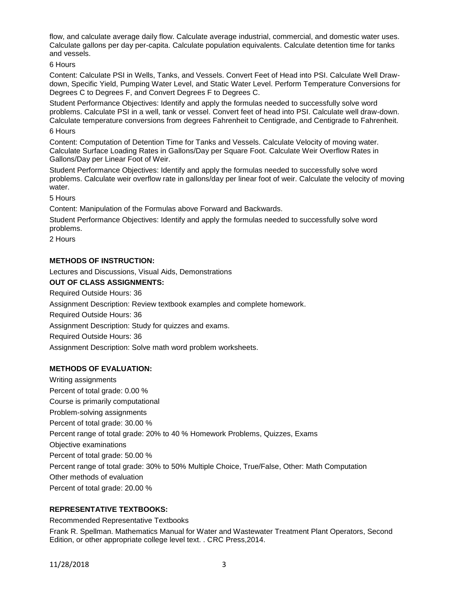flow, and calculate average daily flow. Calculate average industrial, commercial, and domestic water uses. Calculate gallons per day per-capita. Calculate population equivalents. Calculate detention time for tanks and vessels.

6 Hours

Content: Calculate PSI in Wells, Tanks, and Vessels. Convert Feet of Head into PSI. Calculate Well Drawdown, Specific Yield, Pumping Water Level, and Static Water Level. Perform Temperature Conversions for Degrees C to Degrees F, and Convert Degrees F to Degrees C.

Student Performance Objectives: Identify and apply the formulas needed to successfully solve word problems. Calculate PSI in a well, tank or vessel. Convert feet of head into PSI. Calculate well draw-down. Calculate temperature conversions from degrees Fahrenheit to Centigrade, and Centigrade to Fahrenheit.

6 Hours

Content: Computation of Detention Time for Tanks and Vessels. Calculate Velocity of moving water. Calculate Surface Loading Rates in Gallons/Day per Square Foot. Calculate Weir Overflow Rates in Gallons/Day per Linear Foot of Weir.

Student Performance Objectives: Identify and apply the formulas needed to successfully solve word problems. Calculate weir overflow rate in gallons/day per linear foot of weir. Calculate the velocity of moving water.

5 Hours

Content: Manipulation of the Formulas above Forward and Backwards.

Student Performance Objectives: Identify and apply the formulas needed to successfully solve word problems.

2 Hours

## **METHODS OF INSTRUCTION:**

Lectures and Discussions, Visual Aids, Demonstrations

### **OUT OF CLASS ASSIGNMENTS:**

Required Outside Hours: 36

Assignment Description: Review textbook examples and complete homework.

Required Outside Hours: 36

Assignment Description: Study for quizzes and exams.

Required Outside Hours: 36

Assignment Description: Solve math word problem worksheets.

## **METHODS OF EVALUATION:**

Writing assignments Percent of total grade: 0.00 % Course is primarily computational Problem-solving assignments Percent of total grade: 30.00 % Percent range of total grade: 20% to 40 % Homework Problems, Quizzes, Exams Objective examinations Percent of total grade: 50.00 % Percent range of total grade: 30% to 50% Multiple Choice, True/False, Other: Math Computation Other methods of evaluation Percent of total grade: 20.00 %

# **REPRESENTATIVE TEXTBOOKS:**

Recommended Representative Textbooks

Frank R. Spellman. Mathematics Manual for Water and Wastewater Treatment Plant Operators, Second Edition, or other appropriate college level text. . CRC Press,2014.